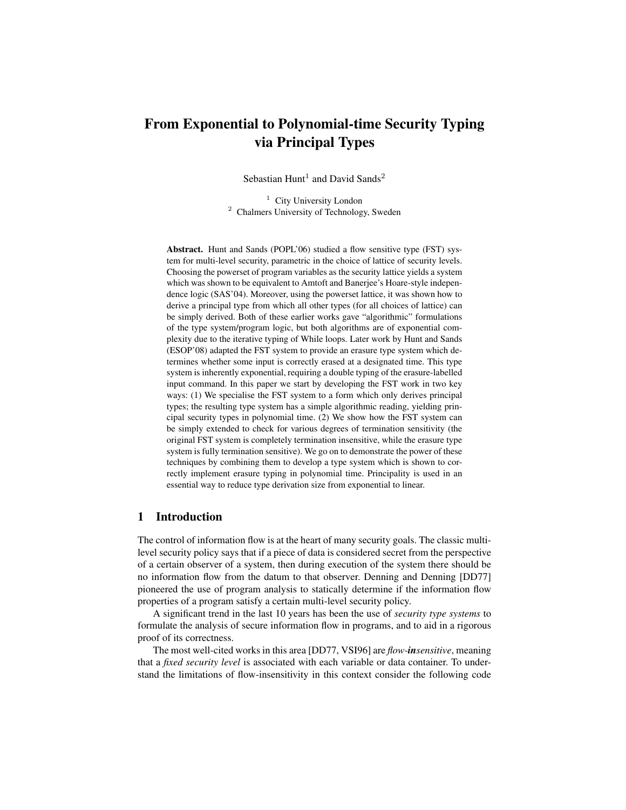# From Exponential to Polynomial-time Security Typing via Principal Types

Sebastian Hunt<sup>1</sup> and David Sands<sup>2</sup>

<sup>1</sup> City University London <sup>2</sup> Chalmers University of Technology, Sweden

Abstract. Hunt and Sands (POPL'06) studied a flow sensitive type (FST) system for multi-level security, parametric in the choice of lattice of security levels. Choosing the powerset of program variables as the security lattice yields a system which was shown to be equivalent to Amtoft and Banerjee's Hoare-style independence logic (SAS'04). Moreover, using the powerset lattice, it was shown how to derive a principal type from which all other types (for all choices of lattice) can be simply derived. Both of these earlier works gave "algorithmic" formulations of the type system/program logic, but both algorithms are of exponential complexity due to the iterative typing of While loops. Later work by Hunt and Sands (ESOP'08) adapted the FST system to provide an erasure type system which determines whether some input is correctly erased at a designated time. This type system is inherently exponential, requiring a double typing of the erasure-labelled input command. In this paper we start by developing the FST work in two key ways: (1) We specialise the FST system to a form which only derives principal types; the resulting type system has a simple algorithmic reading, yielding principal security types in polynomial time. (2) We show how the FST system can be simply extended to check for various degrees of termination sensitivity (the original FST system is completely termination insensitive, while the erasure type system is fully termination sensitive). We go on to demonstrate the power of these techniques by combining them to develop a type system which is shown to correctly implement erasure typing in polynomial time. Principality is used in an essential way to reduce type derivation size from exponential to linear.

# 1 Introduction

The control of information flow is at the heart of many security goals. The classic multilevel security policy says that if a piece of data is considered secret from the perspective of a certain observer of a system, then during execution of the system there should be no information flow from the datum to that observer. Denning and Denning [DD77] pioneered the use of program analysis to statically determine if the information flow properties of a program satisfy a certain multi-level security policy.

A significant trend in the last 10 years has been the use of *security type systems* to formulate the analysis of secure information flow in programs, and to aid in a rigorous proof of its correctness.

The most well-cited works in this area [DD77, VSI96] are *flow-insensitive*, meaning that a *fixed security level* is associated with each variable or data container. To understand the limitations of flow-insensitivity in this context consider the following code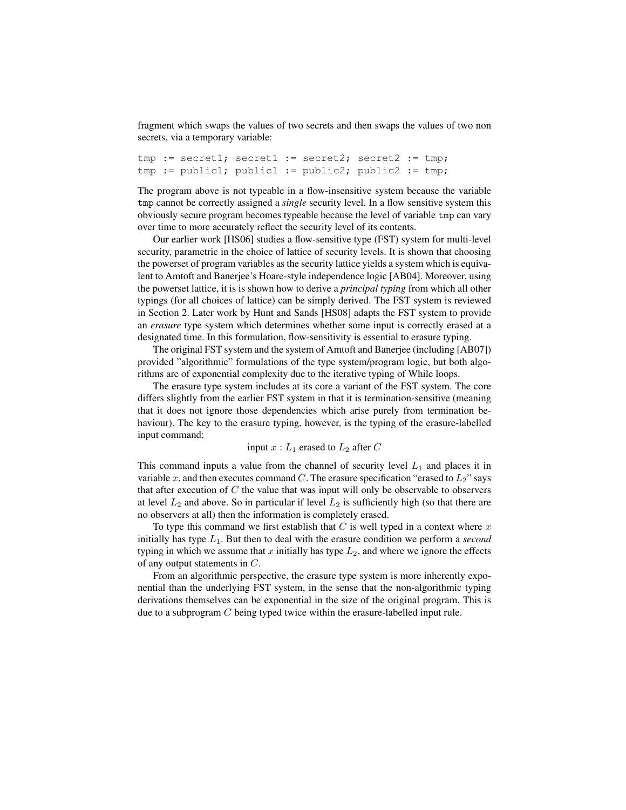fragment which swaps the values of two secrets and then swaps the values of two non secrets, via a temporary variable:

```
tmp := secret1; secret1 := secret2; secret2 := tmp;
tmp := public1; public1 := public2; public2 := tmp;
```
The program above is not typeable in a flow-insensitive system because the variable tmp cannot be correctly assigned a *single* security level. In a flow sensitive system this obviously secure program becomes typeable because the level of variable tmp can vary over time to more accurately reflect the security level of its contents.

Our earlier work [HS06] studies a flow-sensitive type (FST) system for multi-level security, parametric in the choice of lattice of security levels. It is shown that choosing the powerset of program variables as the security lattice yields a system which is equivalent to Amtoft and Banerjee's Hoare-style independence logic [AB04]. Moreover, using the powerset lattice, it is is shown how to derive a *principal typing* from which all other typings (for all choices of lattice) can be simply derived. The FST system is reviewed in Section 2. Later work by Hunt and Sands [HS08] adapts the FST system to provide an *erasure* type system which determines whether some input is correctly erased at a designated time. In this formulation, flow-sensitivity is essential to erasure typing.

The original FST system and the system of Amtoft and Banerjee (including [AB07]) provided "algorithmic" formulations of the type system/program logic, but both algorithms are of exponential complexity due to the iterative typing of While loops.

The erasure type system includes at its core a variant of the FST system. The core differs slightly from the earlier FST system in that it is termination-sensitive (meaning that it does not ignore those dependencies which arise purely from termination behaviour). The key to the erasure typing, however, is the typing of the erasure-labelled input command:

### input  $x : L_1$  erased to  $L_2$  after C

This command inputs a value from the channel of security level  $L_1$  and places it in variable x, and then executes command C. The erasure specification "erased to  $L_2$ " says that after execution of  $C$  the value that was input will only be observable to observers at level  $L_2$  and above. So in particular if level  $L_2$  is sufficiently high (so that there are no observers at all) then the information is completely erased.

To type this command we first establish that  $C$  is well typed in a context where x initially has type  $L_1$ . But then to deal with the erasure condition we perform a *second* typing in which we assume that x initially has type  $L_2$ , and where we ignore the effects of any output statements in C.

From an algorithmic perspective, the erasure type system is more inherently exponential than the underlying FST system, in the sense that the non-algorithmic typing derivations themselves can be exponential in the size of the original program. This is due to a subprogram C being typed twice within the erasure-labelled input rule.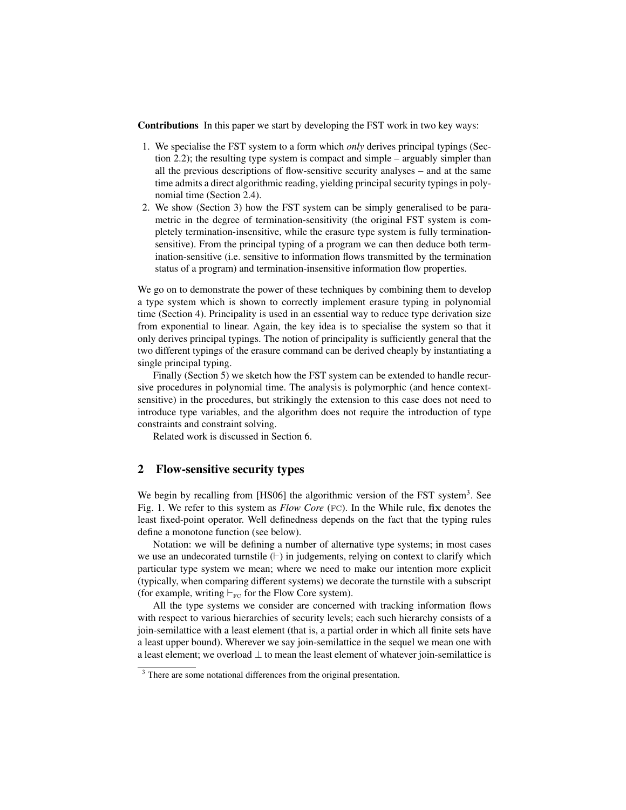Contributions In this paper we start by developing the FST work in two key ways:

- 1. We specialise the FST system to a form which *only* derives principal typings (Section 2.2); the resulting type system is compact and simple – arguably simpler than all the previous descriptions of flow-sensitive security analyses – and at the same time admits a direct algorithmic reading, yielding principal security typings in polynomial time (Section 2.4).
- 2. We show (Section 3) how the FST system can be simply generalised to be parametric in the degree of termination-sensitivity (the original FST system is completely termination-insensitive, while the erasure type system is fully terminationsensitive). From the principal typing of a program we can then deduce both termination-sensitive (i.e. sensitive to information flows transmitted by the termination status of a program) and termination-insensitive information flow properties.

We go on to demonstrate the power of these techniques by combining them to develop a type system which is shown to correctly implement erasure typing in polynomial time (Section 4). Principality is used in an essential way to reduce type derivation size from exponential to linear. Again, the key idea is to specialise the system so that it only derives principal typings. The notion of principality is sufficiently general that the two different typings of the erasure command can be derived cheaply by instantiating a single principal typing.

Finally (Section 5) we sketch how the FST system can be extended to handle recursive procedures in polynomial time. The analysis is polymorphic (and hence contextsensitive) in the procedures, but strikingly the extension to this case does not need to introduce type variables, and the algorithm does not require the introduction of type constraints and constraint solving.

Related work is discussed in Section 6.

### 2 Flow-sensitive security types

We begin by recalling from [HS06] the algorithmic version of the FST system<sup>3</sup>. See Fig. 1. We refer to this system as *Flow Core* (FC). In the While rule, fix denotes the least fixed-point operator. Well definedness depends on the fact that the typing rules define a monotone function (see below).

Notation: we will be defining a number of alternative type systems; in most cases we use an undecorated turnstile  $(+)$  in judgements, relying on context to clarify which particular type system we mean; where we need to make our intention more explicit (typically, when comparing different systems) we decorate the turnstile with a subscript (for example, writing  $\vdash_{\text{FC}}$  for the Flow Core system).

All the type systems we consider are concerned with tracking information flows with respect to various hierarchies of security levels; each such hierarchy consists of a join-semilattice with a least element (that is, a partial order in which all finite sets have a least upper bound). Wherever we say join-semilattice in the sequel we mean one with a least element; we overload  $\perp$  to mean the least element of whatever join-semilattice is

<sup>&</sup>lt;sup>3</sup> There are some notational differences from the original presentation.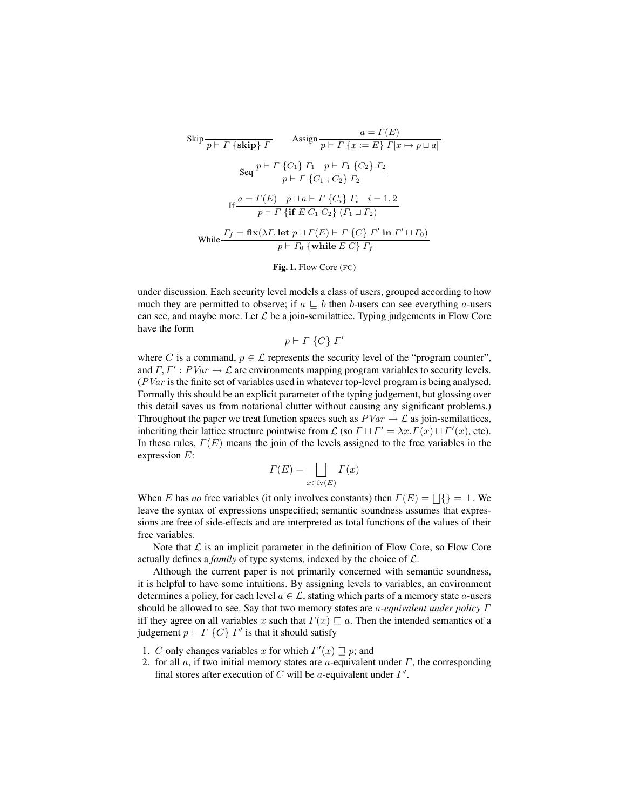$$
\begin{array}{ll}\n\text{skip } & \frac{a = \Gamma(E)}{p \vdash \Gamma \text{ {skip}} \Gamma} & \text{Assign } \frac{a = \Gamma(E)}{p \vdash \Gamma \{x := E\} \Gamma[x \mapsto p \sqcup a]} \\
\text{Seq} \frac{p \vdash \Gamma \{C_1\} \Gamma_1 \quad p \vdash \Gamma_1 \{C_2\} \Gamma_2}{p \vdash \Gamma \{C_1; C_2\} \Gamma_2} \\
\text{If } & \frac{a = \Gamma(E) \quad p \sqcup a \vdash \Gamma \{C_i\} \Gamma_i \quad i = 1, 2}{p \vdash \Gamma \text{ {if } E \ C_1 \ C_2 \} \ ( \Gamma_1 \sqcup \Gamma_2)} \\
\text{While } & \frac{\Gamma_f = \text{fix}(\lambda \Gamma. \text{ let } p \sqcup \Gamma(E) \vdash \Gamma \{C\} \ \Gamma' \text{ in } \Gamma' \sqcup \Gamma_0)}{p \vdash \Gamma_0 \text{ {while } E \ C\} \ \Gamma_f}\n\end{array}
$$

Fig. 1. Flow Core (fc)

under discussion. Each security level models a class of users, grouped according to how much they are permitted to observe; if  $a \subseteq b$  then b-users can see everything a-users can see, and maybe more. Let  $\mathcal L$  be a join-semilattice. Typing judgements in Flow Core have the form

 $p \vdash \Gamma \{C\} \Gamma'$ 

where C is a command,  $p \in \mathcal{L}$  represents the security level of the "program counter", and  $\Gamma, \Gamma' : PVar \to \mathcal{L}$  are environments mapping program variables to security levels.  $(PVar)$  is the finite set of variables used in whatever top-level program is being analysed. Formally this should be an explicit parameter of the typing judgement, but glossing over this detail saves us from notational clutter without causing any significant problems.) Throughout the paper we treat function spaces such as  $PVar \rightarrow \mathcal{L}$  as join-semilattices, inheriting their lattice structure pointwise from  $\mathcal L$  (so  $\Gamma \sqcup \Gamma' = \lambda x.\Gamma(x) \sqcup \Gamma'(x)$ , etc). In these rules,  $\Gamma(E)$  means the join of the levels assigned to the free variables in the expression E:

$$
\Gamma(E) = \bigsqcup_{x \in \text{fv}(E)} \Gamma(x)
$$

When E has *no* free variables (it only involves constants) then  $\Gamma(E) = \bigsqcup \{\} = \bot$ . We leave the syntax of expressions unspecified; semantic soundness assumes that expressions are free of side-effects and are interpreted as total functions of the values of their free variables.

Note that  $\mathcal L$  is an implicit parameter in the definition of Flow Core, so Flow Core actually defines a *family* of type systems, indexed by the choice of L.

Although the current paper is not primarily concerned with semantic soundness, it is helpful to have some intuitions. By assigning levels to variables, an environment determines a policy, for each level  $a \in \mathcal{L}$ , stating which parts of a memory state a-users should be allowed to see. Say that two memory states are a*-equivalent under policy* Γ iff they agree on all variables x such that  $\Gamma(x) \sqsubseteq a$ . Then the intended semantics of a judgement  $p \vdash \Gamma \{C\} \Gamma'$  is that it should satisfy

- 1. C only changes variables x for which  $\Gamma'(x) \supseteq p$ ; and
- 2. for all  $a$ , if two initial memory states are  $a$ -equivalent under  $\Gamma$ , the corresponding final stores after execution of C will be a-equivalent under  $\Gamma'$ .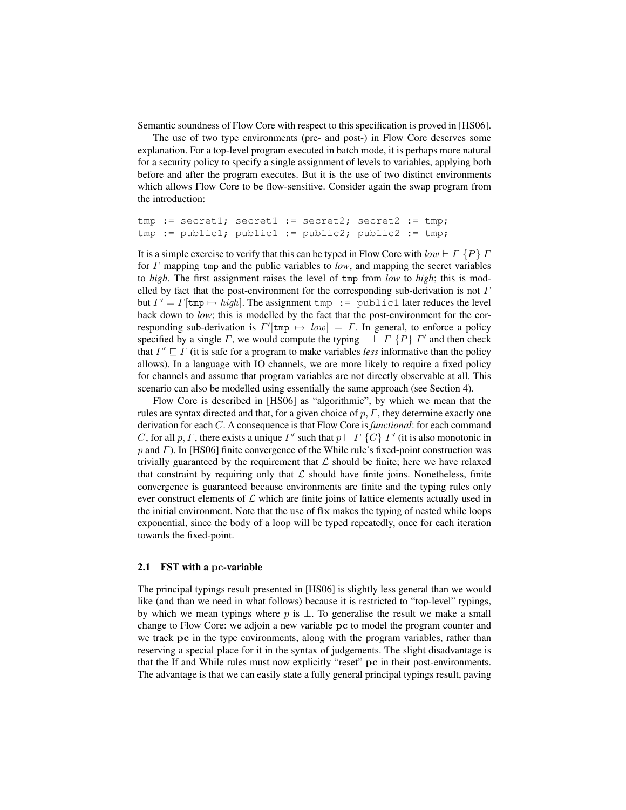Semantic soundness of Flow Core with respect to this specification is proved in [HS06].

The use of two type environments (pre- and post-) in Flow Core deserves some explanation. For a top-level program executed in batch mode, it is perhaps more natural for a security policy to specify a single assignment of levels to variables, applying both before and after the program executes. But it is the use of two distinct environments which allows Flow Core to be flow-sensitive. Consider again the swap program from the introduction:

```
tmp := secret1; secret1 := secret2; secret2 := tmp;
tmp := public1; public1 := public2; public2 := tmp;
```
It is a simple exercise to verify that this can be typed in Flow Core with  $low \vdash \Gamma \{P\} \Gamma$ for Γ mapping tmp and the public variables to *low*, and mapping the secret variables to *high*. The first assignment raises the level of tmp from *low* to *high*; this is modelled by fact that the post-environment for the corresponding sub-derivation is not  $\Gamma$ but  $\Gamma' = \Gamma[\text{tmp} \mapsto high]$ . The assignment tmp := public1 later reduces the level back down to *low*; this is modelled by the fact that the post-environment for the corresponding sub-derivation is  $\Gamma'$ [tmp  $\mapsto low$ ] =  $\Gamma$ . In general, to enforce a policy specified by a single  $\Gamma$ , we would compute the typing  $\bot \vdash \Gamma$   $\{P\}$   $\Gamma'$  and then check that  $\Gamma' \sqsubseteq \Gamma$  (it is safe for a program to make variables *less* informative than the policy allows). In a language with IO channels, we are more likely to require a fixed policy for channels and assume that program variables are not directly observable at all. This scenario can also be modelled using essentially the same approach (see Section 4).

Flow Core is described in [HS06] as "algorithmic", by which we mean that the rules are syntax directed and that, for a given choice of  $p, \Gamma$ , they determine exactly one derivation for each C. A consequence is that Flow Core is *functional*: for each command C, for all p, Γ, there exists a unique  $\Gamma'$  such that  $p \vdash \Gamma \{C\} \Gamma'$  (it is also monotonic in  $p$  and  $\Gamma$ ). In [HS06] finite convergence of the While rule's fixed-point construction was trivially guaranteed by the requirement that  $\mathcal L$  should be finite; here we have relaxed that constraint by requiring only that  $\mathcal L$  should have finite joins. Nonetheless, finite convergence is guaranteed because environments are finite and the typing rules only ever construct elements of  $\mathcal L$  which are finite joins of lattice elements actually used in the initial environment. Note that the use of fix makes the typing of nested while loops exponential, since the body of a loop will be typed repeatedly, once for each iteration towards the fixed-point.

#### 2.1 FST with a pc-variable

The principal typings result presented in [HS06] is slightly less general than we would like (and than we need in what follows) because it is restricted to "top-level" typings, by which we mean typings where p is  $\perp$ . To generalise the result we make a small change to Flow Core: we adjoin a new variable pc to model the program counter and we track pc in the type environments, along with the program variables, rather than reserving a special place for it in the syntax of judgements. The slight disadvantage is that the If and While rules must now explicitly "reset" pc in their post-environments. The advantage is that we can easily state a fully general principal typings result, paving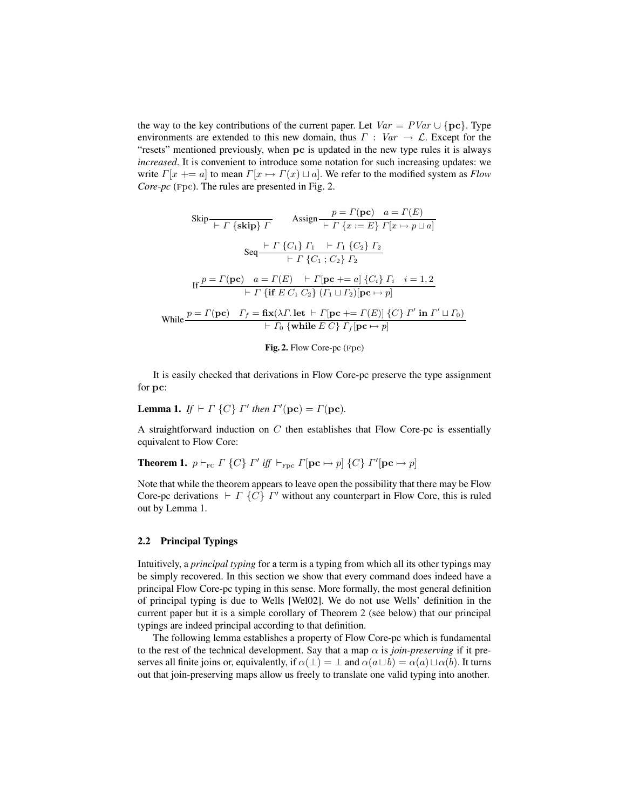the way to the key contributions of the current paper. Let  $Var = PVar \cup \{pc\}$ . Type environments are extended to this new domain, thus  $\Gamma : Var \rightarrow \mathcal{L}$ . Except for the "resets" mentioned previously, when pc is updated in the new type rules it is always *increased*. It is convenient to introduce some notation for such increasing updates: we write  $\Gamma[x \leftarrow a]$  to mean  $\Gamma[x \mapsto \Gamma(x) \sqcup a]$ . We refer to the modified system as *Flow Core-pc* (Fpc). The rules are presented in Fig. 2.

$$
\text{skip} \frac{p = \Gamma(\mathbf{pc}) \quad a = \Gamma(E)}{\left\{ -\Gamma\left\{ \mathbf{skip} \right\} \right\} \Gamma} \qquad \text{Assign} \frac{p = \Gamma(\mathbf{pc}) \quad a = \Gamma(E)}{\left\{ -\Gamma\left\{ x := E \right\} \right\} \left[ x \mapsto p \sqcup a \right]}
$$
\n
$$
\text{Seq} \frac{\left\{ -\Gamma\left\{ C_1 \right\} \right\} \Gamma_1 \quad \left\{ -\Gamma_1\left\{ C_2 \right\} \right\} \Gamma_2}{\left\{ -\Gamma\left\{ C_1 \right\} \right\} \left\{ -\Gamma_2 \right\} \Gamma_2}
$$
\n
$$
\text{If} \frac{p = \Gamma(\mathbf{pc}) \quad a = \Gamma(E) \quad \left\{ -\Gamma[\mathbf{pc} \mid t = a] \right\} \left\{ C_i \right\} \Gamma_i \quad i = 1, 2}{\left\{ -\Gamma\left\{ \mathbf{if} \ E \ C_1 \ C_2 \right\} \left( \Gamma_1 \sqcup \Gamma_2 \right) [\mathbf{pc} \mapsto p]} \right\}}
$$
\n
$$
\text{While} \frac{p = \Gamma(\mathbf{pc}) \quad \Gamma_f = \mathbf{fix}(\lambda \Gamma, \mathbf{let} \ \vdash \Gamma[\mathbf{pc} \mid t = \Gamma(E)] \left\{ C \right\} \Gamma' \text{ in } \Gamma' \sqcup \Gamma_0 \right\}}{\left\{ -\Gamma\left\{ \mathbf{while} \ E \ C \right\} \Gamma_f[\mathbf{pc} \mapsto p]} \right\}}
$$



It is easily checked that derivations in Flow Core-pc preserve the type assignment for pc:

**Lemma 1.** If 
$$
\vdash \Gamma
$$
 {C}  $\vdash \Gamma'$  then  $\Gamma'$ (pc) =  $\Gamma$ (pc).

A straightforward induction on  $C$  then establishes that Flow Core-pc is essentially equivalent to Flow Core:

**Theorem 1.** 
$$
p \vdash_{\text{FC}} \Gamma
$$
 {C}  $\Gamma'$  *iff*  $\vdash_{\text{Fpc}} \Gamma[\text{pc} \mapsto p]$  {C}  $\Gamma'$  [ $\text{pc} \mapsto p$ ]

Note that while the theorem appears to leave open the possibility that there may be Flow Core-pc derivations  $\vdash \Gamma$  {C}  $\Gamma'$  without any counterpart in Flow Core, this is ruled out by Lemma 1.

### 2.2 Principal Typings

Intuitively, a *principal typing* for a term is a typing from which all its other typings may be simply recovered. In this section we show that every command does indeed have a principal Flow Core-pc typing in this sense. More formally, the most general definition of principal typing is due to Wells [Wel02]. We do not use Wells' definition in the current paper but it is a simple corollary of Theorem 2 (see below) that our principal typings are indeed principal according to that definition.

The following lemma establishes a property of Flow Core-pc which is fundamental to the rest of the technical development. Say that a map  $\alpha$  is *join-preserving* if it preserves all finite joins or, equivalently, if  $\alpha(\perp) = \perp$  and  $\alpha(a \sqcup b) = \alpha(a) \sqcup \alpha(b)$ . It turns out that join-preserving maps allow us freely to translate one valid typing into another.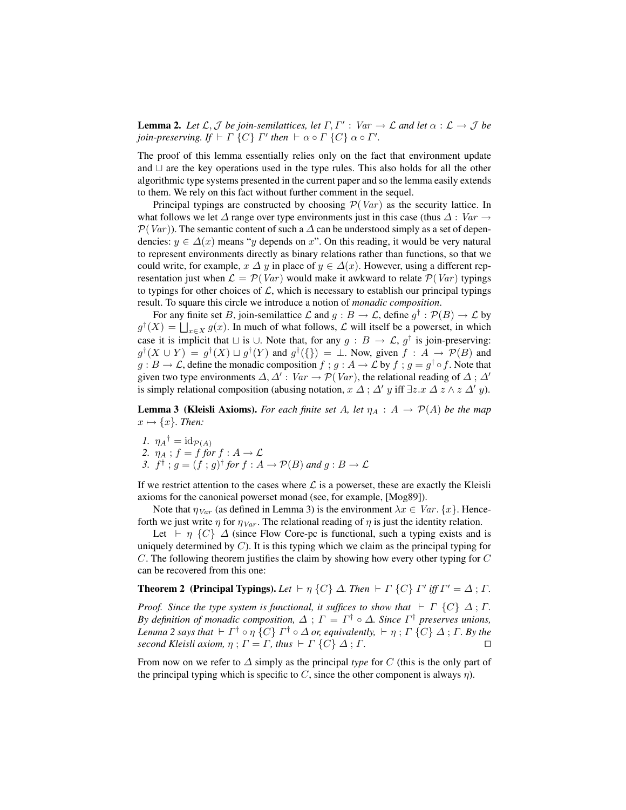**Lemma 2.** Let  $\mathcal{L}, \mathcal{J}$  be join-semilattices, let  $\Gamma, \Gamma' : \text{Var} \to \mathcal{L}$  and let  $\alpha : \mathcal{L} \to \mathcal{J}$  be *join-preserving.* If  $\vdash \Gamma \{C\} \Gamma'$  then  $\vdash \alpha \circ \Gamma \{C\} \alpha \circ \Gamma'$ .

The proof of this lemma essentially relies only on the fact that environment update and  $\sqcup$  are the key operations used in the type rules. This also holds for all the other algorithmic type systems presented in the current paper and so the lemma easily extends to them. We rely on this fact without further comment in the sequel.

Principal typings are constructed by choosing  $\mathcal{P}(Var)$  as the security lattice. In what follows we let  $\Delta$  range over type environments just in this case (thus  $\Delta$  : Var  $\rightarrow$  $\mathcal{P}(Var)$ ). The semantic content of such a  $\Delta$  can be understood simply as a set of dependencies:  $y \in \Delta(x)$  means "y depends on x". On this reading, it would be very natural to represent environments directly as binary relations rather than functions, so that we could write, for example,  $x \Delta y$  in place of  $y \in \Delta(x)$ . However, using a different representation just when  $\mathcal{L} = \mathcal{P}(Var)$  would make it awkward to relate  $\mathcal{P}(Var)$  typings to typings for other choices of  $L$ , which is necessary to establish our principal typings result. To square this circle we introduce a notion of *monadic composition*.

For any finite set B, join-semilattice L and  $g : B \to \mathcal{L}$ , define  $g^{\dagger} : \mathcal{P}(B) \to \mathcal{L}$  by  $g^{\dagger}(X) = \bigsqcup_{x \in X} g(x)$ . In much of what follows,  $\mathcal L$  will itself be a powerset, in which case it is implicit that  $\sqcup$  is  $\cup$ . Note that, for any  $g : B \to \mathcal{L}$ ,  $g^{\dagger}$  is join-preserving:  $g^{\dagger}(X \cup Y) = g^{\dagger}(X) \sqcup g^{\dagger}(Y)$  and  $g^{\dagger}(\{\}) = \bot$ . Now, given  $f : A \to \mathcal{P}(B)$  and  $g : B \to \mathcal{L}$ , define the monadic composition  $f : g : A \to \mathcal{L}$  by  $f : g = g^{\dagger} \circ f$ . Note that given two type environments  $\Delta, \Delta' : Var \rightarrow \mathcal{P}(Var)$ , the relational reading of  $\Delta : \Delta'$ is simply relational composition (abusing notation,  $x \Delta$ ;  $\Delta' y$  iff  $\exists z.x \Delta z \wedge z \Delta' y$ ).

**Lemma 3 (Kleisli Axioms).** For each finite set A, let  $\eta_A : A \to \mathcal{P}(A)$  be the map  $x \mapsto \{x\}$ *. Then:* 

*1.*  $\eta_A^{\dagger} = \mathrm{id}_{\mathcal{P}(A)}$ 2.  $\eta_A$ ;  $f = f$  *for*  $f : A \rightarrow \mathcal{L}$ *3.*  $f^{\dagger}$ ;  $g = (f; g)^{\dagger}$  for  $f : A \rightarrow \mathcal{P}(B)$  and  $g : B \rightarrow \mathcal{L}$ 

If we restrict attention to the cases where  $\mathcal L$  is a powerset, these are exactly the Kleisli axioms for the canonical powerset monad (see, for example, [Mog89]).

Note that  $\eta_{Var}$  (as defined in Lemma 3) is the environment  $\lambda x \in Var$ .  $\{x\}$ . Henceforth we just write  $\eta$  for  $\eta_{Var}$ . The relational reading of  $\eta$  is just the identity relation.

Let  $\vdash \eta$  {C}  $\Delta$  (since Flow Core-pc is functional, such a typing exists and is uniquely determined by  $C$ ). It is this typing which we claim as the principal typing for C. The following theorem justifies the claim by showing how every other typing for C can be recovered from this one:

## **Theorem 2** (Principal Typings). Let  $\vdash \eta$  {C}  $\Delta$ . Then  $\vdash \Gamma$  {C}  $\Gamma'$  iff  $\Gamma' = \Delta$ ;  $\Gamma$ .

*Proof.* Since the type system is functional, it suffices to show that  $\vdash \Gamma$  {C}  $\Delta$ ;  $\Gamma$ . *By definition of monadic composition,*  $\Delta$  ;  $\Gamma = \Gamma^{\dagger} \circ \Delta$ *. Since*  $\Gamma^{\dagger}$  preserves unions, Lemma 2 says that  $\vdash\varGamma^{\dagger}\circ\eta$  {C}  $\varGamma^{\dagger}\circ\varDelta$  or, equivalently,  $\vdash\eta$  ;  $\varGamma$  {C}  $\varDelta$  ;  $\varGamma$ . By the *second Kleisli axiom,*  $\eta$ ;  $\Gamma = \Gamma$ *, thus*  $\vdash \Gamma$   $\{C\}$   $\Delta$ ;  $\Gamma$ *.*  $\Box$ 

From now on we refer to ∆ simply as the principal *type* for C (this is the only part of the principal typing which is specific to C, since the other component is always  $\eta$ ).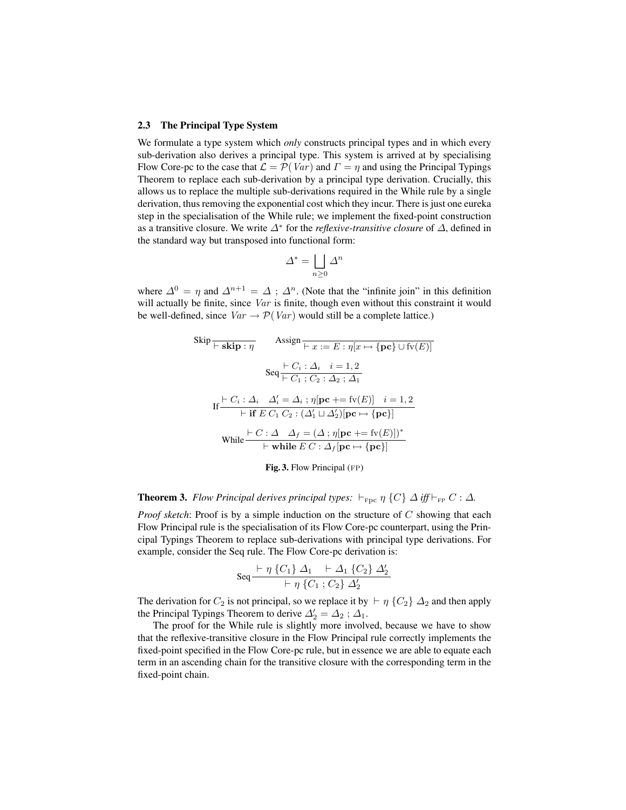#### 2.3 The Principal Type System

We formulate a type system which *only* constructs principal types and in which every sub-derivation also derives a principal type. This system is arrived at by specialising Flow Core-pc to the case that  $\mathcal{L} = \mathcal{P}(Var)$  and  $\Gamma = \eta$  and using the Principal Typings Theorem to replace each sub-derivation by a principal type derivation. Crucially, this allows us to replace the multiple sub-derivations required in the While rule by a single derivation, thus removing the exponential cost which they incur. There is just one eureka step in the specialisation of the While rule; we implement the fixed-point construction as a transitive closure. We write ∆<sup>∗</sup> for the *reflexive-transitive closure* of ∆, defined in the standard way but transposed into functional form:

$$
\varDelta^* = \bigsqcup_{n \ge 0} \varDelta^n
$$

where  $\Delta^{0} = \eta$  and  $\Delta^{n+1} = \Delta$ ;  $\Delta^{n}$ . (Note that the "infinite join" in this definition will actually be finite, since Var is finite, though even without this constraint it would be well-defined, since  $Var \rightarrow \mathcal{P}(Var)$  would still be a complete lattice.)

$$
\begin{array}{ll}\n\text{skip} \overline{\mathbf{F} \cdot \mathbf{skip}} : \eta & \text{Assign} \\
\hline\n\overline{\mathbf{F} \cdot \mathbf{skip}} : \eta & \text{Assign} \\
\hline\n\text{Seq} \xrightarrow{+} C_i : \Delta_i \quad i = 1, 2 \\
\text{Seq} \xrightarrow{+} C_1 : C_2 : \Delta_2 : \Delta_1\n\end{array}
$$
\n
$$
\begin{array}{ll}\n\text{Eq} \xrightarrow{+} C_i : \Delta_i \quad \Delta'_i = 1, 2 \\
\text{If} \xrightarrow{+} C_i : \Delta_i \quad \Delta'_i = \Delta_i : \eta[\mathbf{pc} \xrightarrow{+} \mathbf{fv}(E)] \quad i = 1, 2 \\
\hline\n\text{F} \xrightarrow{+} \mathbf{if} \ E \ C_1 \ C_2 : (\Delta'_1 \sqcup \Delta'_2) [\mathbf{pc} \mapsto \{\mathbf{pc}\}] \\
\text{While} \xrightarrow{+} \overline{\mathbf{r}} \ \text{while} \ E \ C : \Delta_f [\mathbf{pc} \mapsto \{\mathbf{pc}\}]\n\end{array}
$$

Fig. 3. Flow Principal (FP)

### **Theorem 3.** *Flow Principal derives principal types:*  $\vdash_{\text{Fpc}} \eta$  {C}  $\Delta$  *iff*  $\vdash_{\text{FP}} C : \Delta$ *.*

*Proof sketch*: Proof is by a simple induction on the structure of C showing that each Flow Principal rule is the specialisation of its Flow Core-pc counterpart, using the Principal Typings Theorem to replace sub-derivations with principal type derivations. For example, consider the Seq rule. The Flow Core-pc derivation is:

$$
Seq \frac{\vdash \eta \{C_1\} \; \Delta_1 \;\; \vdash \Delta_1 \; \{C_2\} \; \Delta_2'}{\vdash \eta \; \{C_1\; ; \, C_2\} \; \Delta_2'}
$$

The derivation for  $C_2$  is not principal, so we replace it by  $\vdash \eta$  { $C_2$ }  $\Delta_2$  and then apply the Principal Typings Theorem to derive  $\Delta'_2 = \Delta_2$ ;  $\Delta_1$ .

The proof for the While rule is slightly more involved, because we have to show that the reflexive-transitive closure in the Flow Principal rule correctly implements the fixed-point specified in the Flow Core-pc rule, but in essence we are able to equate each term in an ascending chain for the transitive closure with the corresponding term in the fixed-point chain.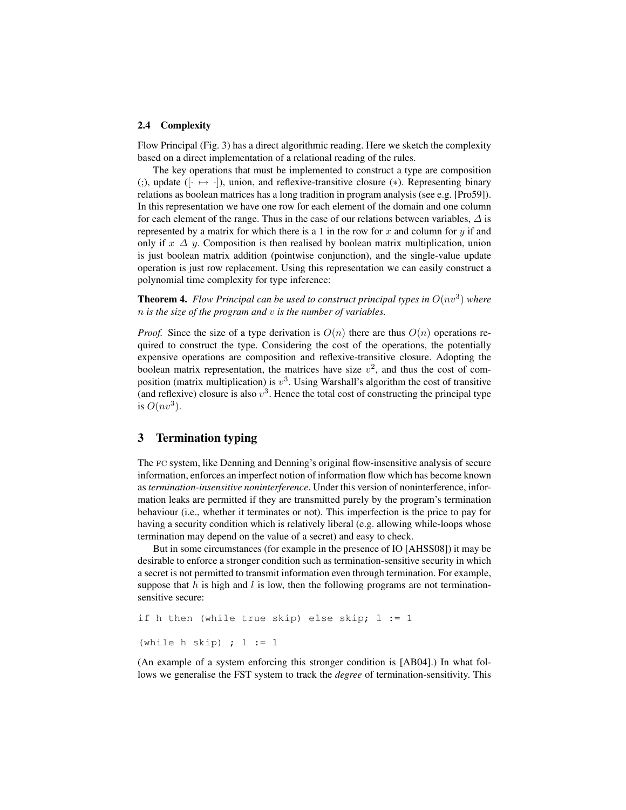#### 2.4 Complexity

Flow Principal (Fig. 3) has a direct algorithmic reading. Here we sketch the complexity based on a direct implementation of a relational reading of the rules.

The key operations that must be implemented to construct a type are composition (;), update ( $[\cdot \mapsto \cdot]$ ), union, and reflexive-transitive closure (\*). Representing binary relations as boolean matrices has a long tradition in program analysis (see e.g. [Pro59]). In this representation we have one row for each element of the domain and one column for each element of the range. Thus in the case of our relations between variables,  $\Delta$  is represented by a matrix for which there is a 1 in the row for  $x$  and column for  $y$  if and only if  $x \Delta y$ . Composition is then realised by boolean matrix multiplication, union is just boolean matrix addition (pointwise conjunction), and the single-value update operation is just row replacement. Using this representation we can easily construct a polynomial time complexity for type inference:

**Theorem 4.** Flow Principal can be used to construct principal types in  $O(nv^3)$  where n *is the size of the program and* v *is the number of variables.*

*Proof.* Since the size of a type derivation is  $O(n)$  there are thus  $O(n)$  operations required to construct the type. Considering the cost of the operations, the potentially expensive operations are composition and reflexive-transitive closure. Adopting the boolean matrix representation, the matrices have size  $v^2$ , and thus the cost of composition (matrix multiplication) is  $v^3$ . Using Warshall's algorithm the cost of transitive (and reflexive) closure is also  $v^3$ . Hence the total cost of constructing the principal type is  $O(nv^3)$ .

# 3 Termination typing

The fc system, like Denning and Denning's original flow-insensitive analysis of secure information, enforces an imperfect notion of information flow which has become known as *termination-insensitive noninterference*. Under this version of noninterference, information leaks are permitted if they are transmitted purely by the program's termination behaviour (i.e., whether it terminates or not). This imperfection is the price to pay for having a security condition which is relatively liberal (e.g. allowing while-loops whose termination may depend on the value of a secret) and easy to check.

But in some circumstances (for example in the presence of IO [AHSS08]) it may be desirable to enforce a stronger condition such as termination-sensitive security in which a secret is not permitted to transmit information even through termination. For example, suppose that  $h$  is high and  $l$  is low, then the following programs are not terminationsensitive secure:

```
if h then (while true skip) else skip; l := 1(while h skip) ; l := 1
```
(An example of a system enforcing this stronger condition is [AB04].) In what follows we generalise the FST system to track the *degree* of termination-sensitivity. This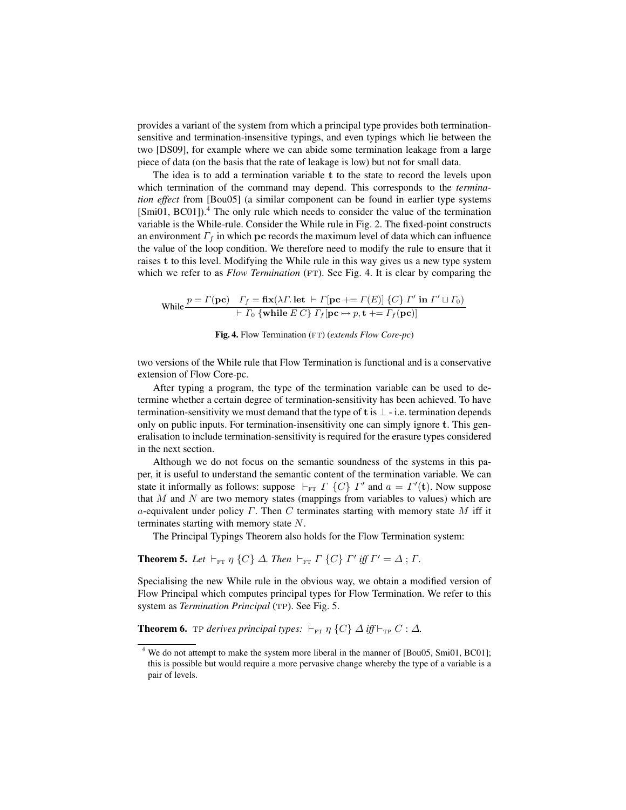provides a variant of the system from which a principal type provides both terminationsensitive and termination-insensitive typings, and even typings which lie between the two [DS09], for example where we can abide some termination leakage from a large piece of data (on the basis that the rate of leakage is low) but not for small data.

The idea is to add a termination variable t to the state to record the levels upon which termination of the command may depend. This corresponds to the *termination effect* from [Bou05] (a similar component can be found in earlier type systems  $[Smi01, BC01]$ <sup>4</sup>. The only rule which needs to consider the value of the termination variable is the While-rule. Consider the While rule in Fig. 2. The fixed-point constructs an environment  $\Gamma_f$  in which pc records the maximum level of data which can influence the value of the loop condition. We therefore need to modify the rule to ensure that it raises t to this level. Modifying the While rule in this way gives us a new type system which we refer to as *Flow Termination* (FT). See Fig. 4. It is clear by comparing the

$$
\text{While } \frac{p = \Gamma(\mathbf{pc}) \quad \Gamma_f = \mathbf{fix}(\lambda \Gamma. \mathbf{let} \ \vdash \ \Gamma[\mathbf{pc} \ += \ \Gamma(E)] \ \{C\} \ \Gamma' \ \mathbf{in} \ \Gamma' \sqcup \Gamma_0)}{\vdash \ \Gamma_0 \ \{\mathbf{while} \ E \ C\} \ \Gamma_f[\mathbf{pc} \ \mapsto \ p, \mathbf{t} \ += \ \Gamma_f(\mathbf{pc})]}
$$

Fig. 4. Flow Termination (FT) (*extends Flow Core-pc*)

two versions of the While rule that Flow Termination is functional and is a conservative extension of Flow Core-pc.

After typing a program, the type of the termination variable can be used to determine whether a certain degree of termination-sensitivity has been achieved. To have termination-sensitivity we must demand that the type of t is  $\perp$  - i.e. termination depends only on public inputs. For termination-insensitivity one can simply ignore t. This generalisation to include termination-sensitivity is required for the erasure types considered in the next section.

Although we do not focus on the semantic soundness of the systems in this paper, it is useful to understand the semantic content of the termination variable. We can state it informally as follows: suppose  $\vdash_{\text{FT}} \Gamma$  {C}  $\Gamma'$  and  $a = \Gamma'(\mathbf{t})$ . Now suppose that  $M$  and  $N$  are two memory states (mappings from variables to values) which are a-equivalent under policy  $\Gamma$ . Then C terminates starting with memory state M iff it terminates starting with memory state N.

The Principal Typings Theorem also holds for the Flow Termination system:

**Theorem 5.** Let  $\vdash_{\text{FT}} \eta$  {C}  $\Delta$ . Then  $\vdash_{\text{FT}} \Gamma$  {C}  $\Gamma'$  iff  $\Gamma' = \Delta$ ;  $\Gamma$ .

Specialising the new While rule in the obvious way, we obtain a modified version of Flow Principal which computes principal types for Flow Termination. We refer to this system as *Termination Principal* (TP). See Fig. 5.

**Theorem 6.** TP *derives principal types:*  $\vdash_{\text{FT}} \eta$  {C}  $\Delta$  *iff*  $\vdash_{\text{TP}} C : \Delta$ *.* 

<sup>&</sup>lt;sup>4</sup> We do not attempt to make the system more liberal in the manner of [Bou05, Smi01, BC01]; this is possible but would require a more pervasive change whereby the type of a variable is a pair of levels.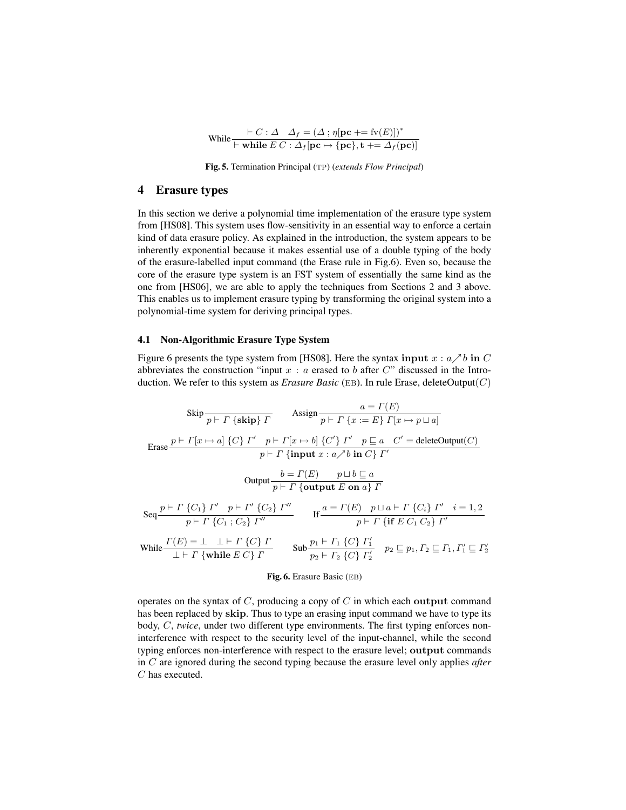$$
\text{While } \frac{\vdash C : \Delta \quad \Delta_f = (\Delta \text{ ; } \eta[\mathbf{pc} \mid \mathbf{F} \mathbf{fv}(E)])^*}{\vdash \textbf{while } E \ C : \Delta_f[\mathbf{pc} \mapsto \{\mathbf{pc}\}, \mathbf{t} \mid \mathbf{F} \Delta_f[\mathbf{pc})]}
$$

Fig. 5. Termination Principal (tp) (*extends Flow Principal*)

### 4 Erasure types

In this section we derive a polynomial time implementation of the erasure type system from [HS08]. This system uses flow-sensitivity in an essential way to enforce a certain kind of data erasure policy. As explained in the introduction, the system appears to be inherently exponential because it makes essential use of a double typing of the body of the erasure-labelled input command (the Erase rule in Fig.6). Even so, because the core of the erasure type system is an FST system of essentially the same kind as the one from [HS06], we are able to apply the techniques from Sections 2 and 3 above. This enables us to implement erasure typing by transforming the original system into a polynomial-time system for deriving principal types.

#### 4.1 Non-Algorithmic Erasure Type System

Figure 6 presents the type system from [HS08]. Here the syntax input  $x : a \nearrow b$  in C abbreviates the construction "input  $x : a$  erased to b after C" discussed in the Introduction. We refer to this system as *Erasure Basic* (EB). In rule Erase, deleteOutput $(C)$ 

$$
\operatorname{skip} \frac{\operatorname{skip}}{p \mapsto \Gamma \{\text{skip}\} \Gamma} \qquad \qquad \operatorname{Assign} \frac{a = \Gamma(E)}{p \mapsto \Gamma \{x := E\} \Gamma[x \mapsto p \sqcup a]}
$$
\n
$$
\operatorname{Erase} \frac{p \mapsto \Gamma[x \mapsto a] \{C\} \Gamma' \quad p \mapsto \Gamma[x \mapsto b] \{C'\} \Gamma' \quad p \sqsubseteq a \quad C' = \text{deleteOutput}(C)}{p \mapsto \Gamma \{\text{input } x : a \nearrow b \text{ in } C\} \Gamma'}
$$
\n
$$
\text{Output} \frac{b = \Gamma(E) \qquad p \sqcup b \sqsubseteq a}{p \mapsto \Gamma \{\text{output } E \text{ on } a\} \Gamma}
$$
\n
$$
\operatorname{Seq} \frac{p \mapsto \Gamma \{C_1\} \Gamma' \quad p \mapsto \Gamma' \{C_2\} \Gamma''}{p \mapsto \Gamma \{C_1; C_2\} \Gamma''} \qquad \qquad \text{If} \frac{a = \Gamma(E) \quad p \sqcup a \mapsto \Gamma \{C_i\} \Gamma' \quad i = 1, 2}{p \mapsto \Gamma \{\text{if } E \ C_1 \ C_2\} \Gamma'}
$$
\n
$$
\text{While} \frac{\Gamma(E) = \bot \quad \bot \vdash \Gamma \{C\} \Gamma}{\bot \vdash \Gamma \{\text{while } E \ C\} \Gamma} \qquad \text{Sub} \frac{p_1 \mapsto \Gamma_1 \{C\} \Gamma'_1}{p_2 \mapsto \Gamma_2 \{C\} \Gamma'_2} \qquad p_2 \sqsubseteq p_1, P_2 \sqsubseteq \Gamma_1, P'_1 \sqsubseteq P'_2}
$$

#### Fig. 6. Erasure Basic (eb)

operates on the syntax of  $C$ , producing a copy of  $C$  in which each output command has been replaced by skip. Thus to type an erasing input command we have to type its body, C, *twice*, under two different type environments. The first typing enforces noninterference with respect to the security level of the input-channel, while the second typing enforces non-interference with respect to the erasure level; output commands in C are ignored during the second typing because the erasure level only applies *after* C has executed.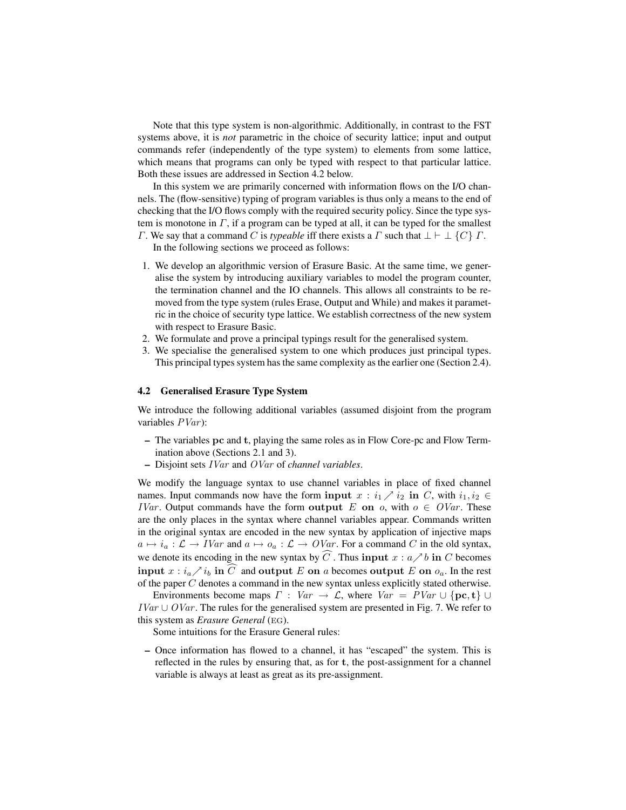Note that this type system is non-algorithmic. Additionally, in contrast to the FST systems above, it is *not* parametric in the choice of security lattice; input and output commands refer (independently of the type system) to elements from some lattice, which means that programs can only be typed with respect to that particular lattice. Both these issues are addressed in Section 4.2 below.

In this system we are primarily concerned with information flows on the I/O channels. The (flow-sensitive) typing of program variables is thus only a means to the end of checking that the I/O flows comply with the required security policy. Since the type system is monotone in  $\Gamma$ , if a program can be typed at all, it can be typed for the smallest Γ. We say that a command C is *typeable* iff there exists a  $\Gamma$  such that  $\bot \vdash \bot \{C\} \Gamma$ .

In the following sections we proceed as follows:

- 1. We develop an algorithmic version of Erasure Basic. At the same time, we generalise the system by introducing auxiliary variables to model the program counter, the termination channel and the IO channels. This allows all constraints to be removed from the type system (rules Erase, Output and While) and makes it parametric in the choice of security type lattice. We establish correctness of the new system with respect to Erasure Basic.
- 2. We formulate and prove a principal typings result for the generalised system.
- 3. We specialise the generalised system to one which produces just principal types. This principal types system has the same complexity as the earlier one (Section 2.4).

#### 4.2 Generalised Erasure Type System

We introduce the following additional variables (assumed disjoint from the program variables  $PVar$ :

- The variables pc and t, playing the same roles as in Flow Core-pc and Flow Termination above (Sections 2.1 and 3).
- Disjoint sets IVar and OVar of *channel variables*.

We modify the language syntax to use channel variables in place of fixed channel names. Input commands now have the form input  $x : i_1 \nearrow i_2$  in C, with  $i_1, i_2 \in$ *IVar*. Output commands have the form output E on  $o$ , with  $o \in \mathit{OVar}$ . These are the only places in the syntax where channel variables appear. Commands written in the original syntax are encoded in the new syntax by application of injective maps  $a \mapsto i_a : \mathcal{L} \to IVar$  and  $a \mapsto o_a : \mathcal{L} \to OVar$ . For a command C in the old syntax, we denote its encoding in the new syntax by  $\widehat{C}$ . Thus input  $x : a \nearrow b$  in C becomes input  $x : i_a \nearrow i_b$  in  $\widehat{C}$  and output E on a becomes output E on  $o_a$ . In the rest of the paper  $C$  denotes a command in the new syntax unless explicitly stated otherwise.

Environments become maps  $\Gamma : Var \to \mathcal{L}$ , where  $Var = PVar \cup \{pc, t\} \cup$  $IVar \cup OVar$ . The rules for the generalised system are presented in Fig. 7. We refer to this system as *Erasure General* (EG).

Some intuitions for the Erasure General rules:

– Once information has flowed to a channel, it has "escaped" the system. This is reflected in the rules by ensuring that, as for t, the post-assignment for a channel variable is always at least as great as its pre-assignment.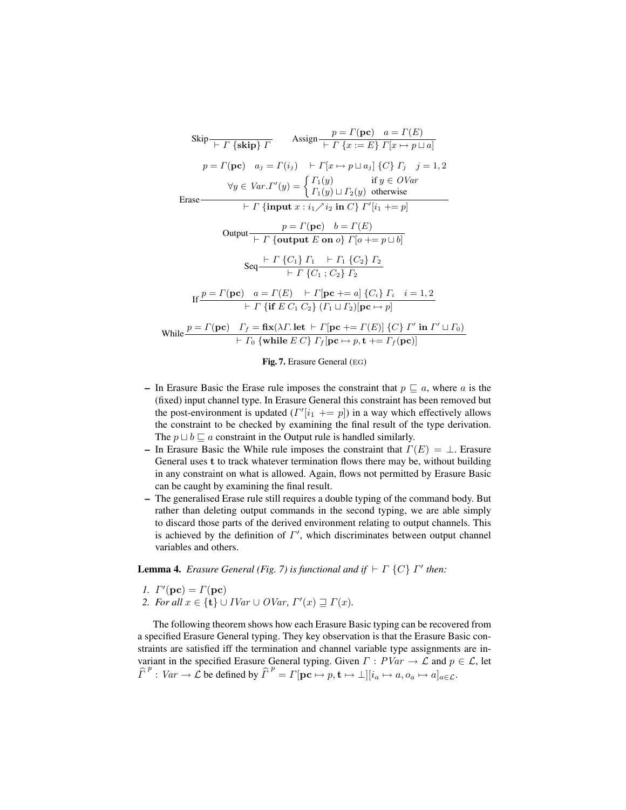$$
\begin{array}{ll}\n\text{skip} & p = \Gamma(\mathbf{pc}) \quad a = \Gamma(E) \\
\hline\np = \Gamma(\mathbf{pc}) \quad a_j = \Gamma(i_j) \quad \text{for } \Gamma(E) = E\} \Gamma[x \mapsto p \sqcup a] \\
p = \Gamma(\mathbf{pc}) \quad a_j = \Gamma(i_j) \quad \text{for } \Gamma[x \mapsto p \sqcup a_j] \{C\} \Gamma_j \quad j = 1, 2 \\
\forall y \in \text{Var.} \Gamma'(y) = \begin{cases} \Gamma_1(y) & \text{if } y \in \text{OVar} \\
\Gamma_1(y) \sqcup \Gamma_2(y) & \text{otherwise}\n\end{cases} \\
\hline\n\end{array}
$$
\n
$$
\begin{array}{ll}\n\text{Erase} & \text{for } \Gamma \text{ in } \text{Put } x : i_1 \nearrow i_2 \text{ in } C\} \Gamma'[i_1 + = p] \\
\hline\n\end{array}
$$
\n
$$
\begin{array}{ll}\n\text{Output} & \text{for } p = \Gamma(\mathbf{pc}) \quad b = \Gamma(E) \\
\hline\n\end{array}
$$
\n
$$
\begin{array}{ll}\n\text{Step 1: } \Gamma \text{ in } \text{Put } E \text{ on } o\} \Gamma[0 + p \sqcup b] \\
\hline\n\end{array}
$$
\n
$$
\begin{array}{ll}\n\text{Step 2: } \Gamma \text{ in } \text{let } E \text{ on } O\} \Gamma[0 + p \sqcup b] \\
\hline\n\end{array}
$$
\n
$$
\begin{array}{ll}\n\text{Step 3: } \Gamma \text{ in } \text{let } E \text{ in } \text{let } E \text{ in } \text{let } E \text{ in } \text{let } E \text{ in } \text{let } E \text{ in } \text{let } E \text{ in } \text{let } E \text{ in } \text{let } E \text{ in } \text{let } E \text{ in } \text{let } E \text{ in } \text{let } E \text{ in } E \text{ in } \text{let } E \text{ in } E \text{ in } E \text{ in } E \text{ in } E \text{ in } E \text{ in } E \text{ in } E \text{ in } E \text{ in } E \text{ in } E \text{ in } E \text{ in } E \text{ in } E \text{ in } E \text{ in } E \text{ in } E
$$

Fig. 7. Erasure General (eg)

- In Erasure Basic the Erase rule imposes the constraint that  $p \sqsubseteq a$ , where a is the (fixed) input channel type. In Erasure General this constraint has been removed but the post-environment is updated  $(\Gamma'[i_1 + p])$  in a way which effectively allows the constraint to be checked by examining the final result of the type derivation. The  $p \sqcup b \sqsubseteq a$  constraint in the Output rule is handled similarly.
- In Erasure Basic the While rule imposes the constraint that  $\Gamma(E) = \perp$ . Erasure General uses t to track whatever termination flows there may be, without building in any constraint on what is allowed. Again, flows not permitted by Erasure Basic can be caught by examining the final result.
- The generalised Erase rule still requires a double typing of the command body. But rather than deleting output commands in the second typing, we are able simply to discard those parts of the derived environment relating to output channels. This is achieved by the definition of  $\Gamma'$ , which discriminates between output channel variables and others.

**Lemma 4.** *Erasure General (Fig. 7) is functional and if*  $\vdash \Gamma$  {*C*}  $\Gamma'$  *then:* 

- *1.*  $\Gamma'(\mathbf{pc}) = \Gamma(\mathbf{pc})$
- *2. For all*  $x \in \{t\} \cup IVar \cup OVar$ ,  $\Gamma'(x) \supseteq \Gamma(x)$ .

The following theorem shows how each Erasure Basic typing can be recovered from a specified Erasure General typing. They key observation is that the Erasure Basic constraints are satisfied iff the termination and channel variable type assignments are invariant in the specified Erasure General typing. Given  $\Gamma : PVar \to \mathcal{L}$  and  $p \in \mathcal{L}$ , let  $\widehat{\Gamma}^p : Var \to \mathcal{L}$  be defined by  $\widehat{\Gamma}^p = \Gamma[\mathbf{pc} \mapsto p, \mathbf{t} \mapsto \bot][i_a \mapsto a, o_a \mapsto a]_{a \in \mathcal{L}}$ .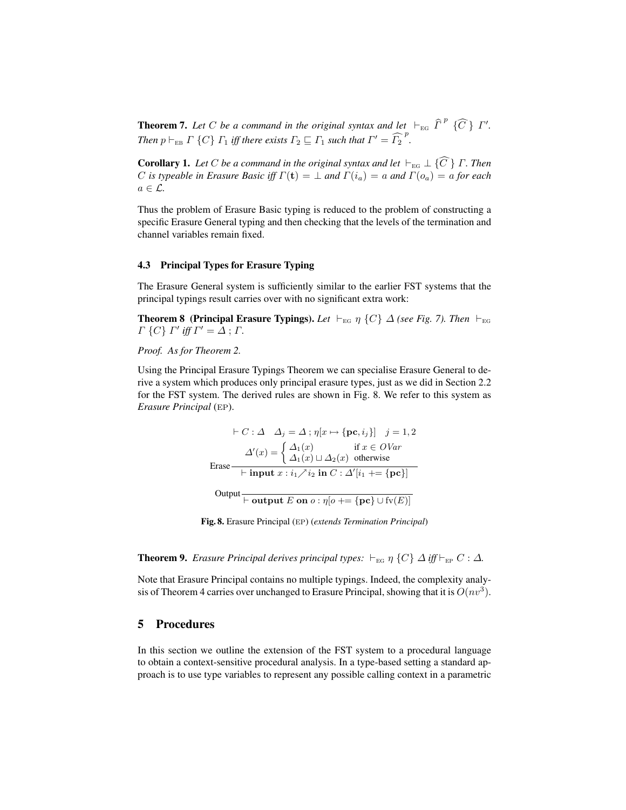**Theorem 7.** Let C be a command in the original syntax and let  $\vdash_{EG} \widehat{\Gamma}^p$   $\{\widehat{C}\}\ \Gamma'$ . *Then*  $p \vdash_{EB} \Gamma$  {C}  $\Gamma_1$  *iff there exists*  $\Gamma_2 \sqsubseteq \Gamma_1$  *such that*  $\Gamma' = \widehat{\Gamma_2}^p$ .

**Corollary 1.** Let C be a command in the original syntax and let  $\vdash_{EG} \bot \{C\}$  Γ. Then C *is typeable in Erasure Basic iff*  $\Gamma(\mathbf{t}) = \perp$  *and*  $\Gamma(i_a) = a$  *and*  $\Gamma(o_a) = a$  *for each*  $a \in \mathcal{L}$ .

Thus the problem of Erasure Basic typing is reduced to the problem of constructing a specific Erasure General typing and then checking that the levels of the termination and channel variables remain fixed.

### 4.3 Principal Types for Erasure Typing

The Erasure General system is sufficiently similar to the earlier FST systems that the principal typings result carries over with no significant extra work:

**Theorem 8 (Principal Erasure Typings).** Let  $\vdash_{EG} \eta$  {C}  $\Delta$  *(see Fig. 7). Then*  $\vdash_{EG}$  $\Gamma \{C\} \Gamma'$  iff  $\Gamma' = \Delta$ ;  $\Gamma$ .

*Proof. As for Theorem 2.*

Using the Principal Erasure Typings Theorem we can specialise Erasure General to derive a system which produces only principal erasure types, just as we did in Section 2.2 for the FST system. The derived rules are shown in Fig. 8. We refer to this system as *Erasure Principal* (EP).

$$
\vdash C : \Delta \quad \Delta_j = \Delta \; ; \; \eta[x \mapsto \{pc, i_j\}] \quad j = 1, 2
$$
\n
$$
\Delta'(x) = \begin{cases} \Delta_1(x) & \text{if } x \in OVar \\ \Delta_1(x) \sqcup \Delta_2(x) & \text{otherwise} \end{cases}
$$
\nErase

\n
$$
\begin{aligned}\n& \leftarrow \text{input } x : i_1 \nearrow i_2 \text{ in } C : \Delta'[i_1 + \{pc\}] \\
& \text{Output } \text{Output } E \text{ on } o : \eta[o] \right.\n\end{aligned}
$$

Fig. 8. Erasure Principal (ep) (*extends Termination Principal*)

**Theorem 9.** *Erasure Principal derives principal types:*  $\vdash_{EG} \eta$  {C}  $\Delta$  *iff*  $\vdash_{EP} C : \Delta$ *.* 

Note that Erasure Principal contains no multiple typings. Indeed, the complexity analysis of Theorem 4 carries over unchanged to Erasure Principal, showing that it is  $O(nv^3)$ .

# 5 Procedures

In this section we outline the extension of the FST system to a procedural language to obtain a context-sensitive procedural analysis. In a type-based setting a standard approach is to use type variables to represent any possible calling context in a parametric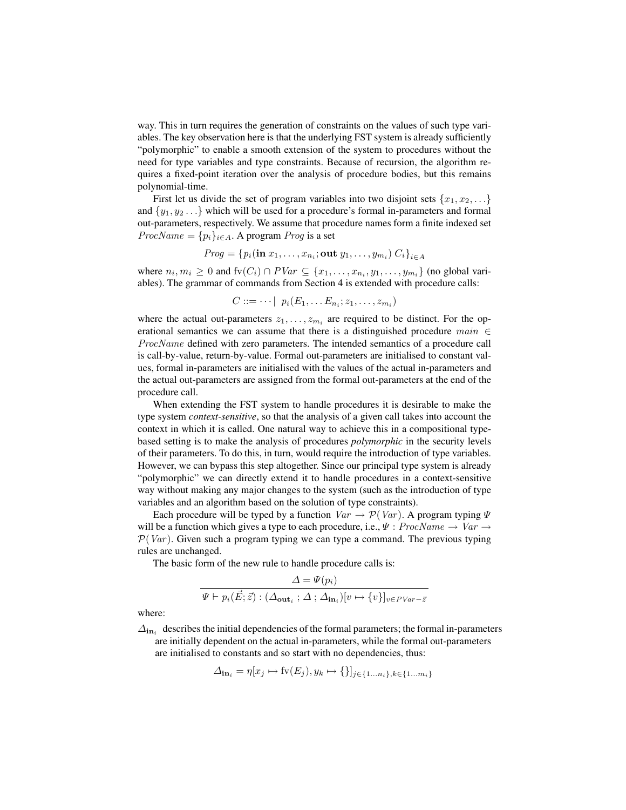way. This in turn requires the generation of constraints on the values of such type variables. The key observation here is that the underlying FST system is already sufficiently "polymorphic" to enable a smooth extension of the system to procedures without the need for type variables and type constraints. Because of recursion, the algorithm requires a fixed-point iteration over the analysis of procedure bodies, but this remains polynomial-time.

First let us divide the set of program variables into two disjoint sets  $\{x_1, x_2, \ldots\}$ and  $\{y_1, y_2 \ldots\}$  which will be used for a procedure's formal in-parameters and formal out-parameters, respectively. We assume that procedure names form a finite indexed set  $ProcName = {p_i}_{i \in A}$ . A program *Prog* is a set

*Prog* = {
$$
p_i(\text{in }x_1,\ldots,x_{n_i};\text{out }y_1,\ldots,y_{m_i})
$$
 C<sub>i</sub>}<sub>i\in A</sub>

where  $n_i, m_i \geq 0$  and  $fv(C_i) \cap PVar \subseteq \{x_1, \ldots, x_{n_i}, y_1, \ldots, y_{m_i}\}$  (no global variables). The grammar of commands from Section 4 is extended with procedure calls:

 $C ::= \cdots | p_i(E_1, \ldots E_{n_i}; z_1, \ldots, z_{m_i})$ 

where the actual out-parameters  $z_1, \ldots, z_{m_i}$  are required to be distinct. For the operational semantics we can assume that there is a distinguished procedure  $main \in$ ProcName defined with zero parameters. The intended semantics of a procedure call is call-by-value, return-by-value. Formal out-parameters are initialised to constant values, formal in-parameters are initialised with the values of the actual in-parameters and the actual out-parameters are assigned from the formal out-parameters at the end of the procedure call.

When extending the FST system to handle procedures it is desirable to make the type system *context-sensitive*, so that the analysis of a given call takes into account the context in which it is called. One natural way to achieve this in a compositional typebased setting is to make the analysis of procedures *polymorphic* in the security levels of their parameters. To do this, in turn, would require the introduction of type variables. However, we can bypass this step altogether. Since our principal type system is already "polymorphic" we can directly extend it to handle procedures in a context-sensitive way without making any major changes to the system (such as the introduction of type variables and an algorithm based on the solution of type constraints).

Each procedure will be typed by a function  $Var \rightarrow \mathcal{P}(Var)$ . A program typing  $\Psi$ will be a function which gives a type to each procedure, i.e.,  $\Psi$  :  $ProcName \rightarrow Var \rightarrow$  $P(Var)$ . Given such a program typing we can type a command. The previous typing rules are unchanged.

The basic form of the new rule to handle procedure calls is:

$$
\frac{\Delta = \Psi(p_i)}{\Psi \vdash p_i(\vec{E}; \vec{z}) : (\Delta_{\textbf{out}_i} : \Delta : \Delta_{\textbf{in}_i})[v \mapsto \{v\}]_{v \in PVar - \vec{z}}}
$$

where:

 $\Delta_{\text{in}_i}$  describes the initial dependencies of the formal parameters; the formal in-parameters are initially dependent on the actual in-parameters, while the formal out-parameters are initialised to constants and so start with no dependencies, thus:

$$
\Delta_{\text{in}_i} = \eta[x_j \mapsto \text{fv}(E_j), y_k \mapsto \{\}]_{j \in \{1 \dots n_i\}, k \in \{1 \dots m_i\}}
$$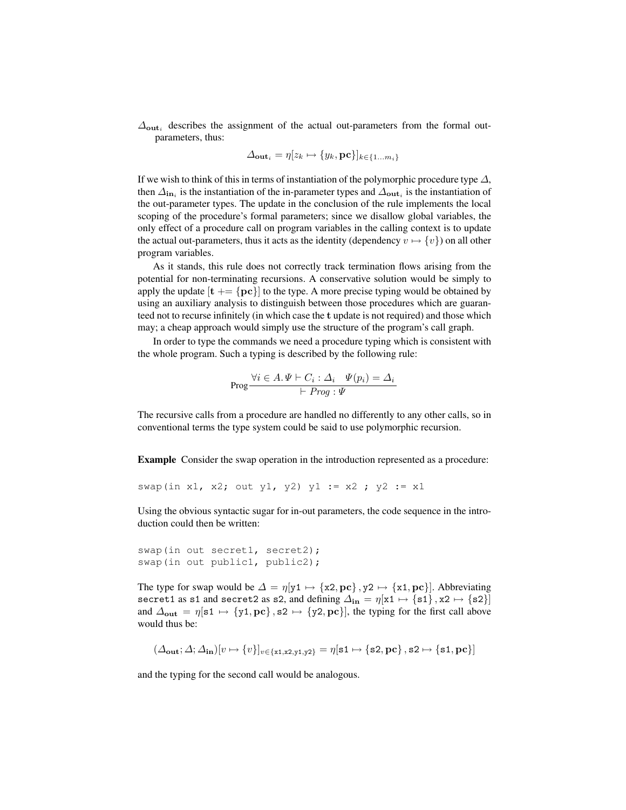$\Delta_{\text{out}_i}$  describes the assignment of the actual out-parameters from the formal outparameters, thus:

$$
\Delta_{\mathbf{out}_i} = \eta[z_k \mapsto \{y_k, \mathbf{pc}\}]_{k \in \{1 \dots m_i\}}
$$

If we wish to think of this in terms of instantiation of the polymorphic procedure type  $\Delta$ , then  $\Delta_{\text{in}_i}$  is the instantiation of the in-parameter types and  $\Delta_{\text{out}_i}$  is the instantiation of the out-parameter types. The update in the conclusion of the rule implements the local scoping of the procedure's formal parameters; since we disallow global variables, the only effect of a procedure call on program variables in the calling context is to update the actual out-parameters, thus it acts as the identity (dependency  $v \mapsto \{v\}$ ) on all other program variables.

As it stands, this rule does not correctly track termination flows arising from the potential for non-terminating recursions. A conservative solution would be simply to apply the update  $[t]$  +  $[\mathbf{pc}]$  to the type. A more precise typing would be obtained by using an auxiliary analysis to distinguish between those procedures which are guaranteed not to recurse infinitely (in which case the t update is not required) and those which may; a cheap approach would simply use the structure of the program's call graph.

In order to type the commands we need a procedure typing which is consistent with the whole program. Such a typing is described by the following rule:

$$
\operatorname{Prog} \frac{\forall i \in A. \Psi \vdash C_i : \Delta_i \quad \Psi(p_i) = \Delta_i}{\vdash \operatorname{Prog} : \Psi}
$$

The recursive calls from a procedure are handled no differently to any other calls, so in conventional terms the type system could be said to use polymorphic recursion.

Example Consider the swap operation in the introduction represented as a procedure:

swap(in x1, x2; out y1, y2) y1 := x2 ; y2 := x1

Using the obvious syntactic sugar for in-out parameters, the code sequence in the introduction could then be written:

```
swap(in out secret1, secret2);
swap(in out public1, public2);
```
The type for swap would be  $\Delta = \eta[y_1 \mapsto \{x_2, \text{pc}\}, y_2 \mapsto \{x_1, \text{pc}\}]$ . Abbreviating secret1 as s1 and secret2 as s2, and defining  $\Delta_{\text{in}} = \eta[x1 \mapsto \{s1\}, x2 \mapsto \{s2\}]$ and  $\Delta_{\text{out}} = \eta[\text{s1} \mapsto \{y1, \text{pc}\}, \text{s2} \mapsto \{y2, \text{pc}\}]$ , the typing for the first call above would thus be:

$$
(\Delta_{\text{out}}; \Delta; \Delta_{\text{in}})[v \mapsto \{v\}]_{v \in \{x1, x2, y1, y2\}} = \eta[\texttt{s1} \mapsto \{\texttt{s2}, \texttt{pc}\}, \texttt{s2} \mapsto \{\texttt{s1}, \texttt{pc}\}]
$$

and the typing for the second call would be analogous.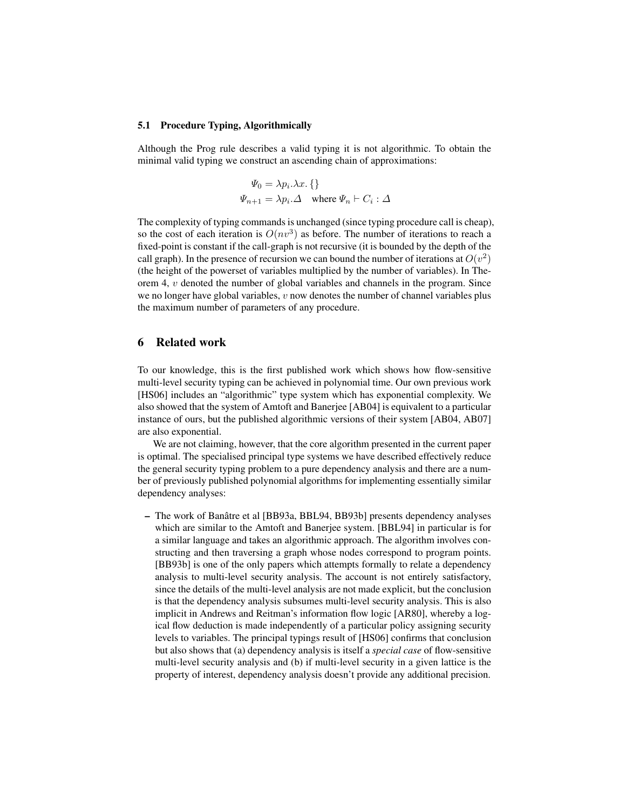#### 5.1 Procedure Typing, Algorithmically

Although the Prog rule describes a valid typing it is not algorithmic. To obtain the minimal valid typing we construct an ascending chain of approximations:

$$
\Psi_0 = \lambda p_i \cdot \lambda x. \{\}
$$
  

$$
\Psi_{n+1} = \lambda p_i \cdot \Delta \quad \text{where } \Psi_n \vdash C_i : \Delta
$$

The complexity of typing commands is unchanged (since typing procedure call is cheap), so the cost of each iteration is  $O(nv^3)$  as before. The number of iterations to reach a fixed-point is constant if the call-graph is not recursive (it is bounded by the depth of the call graph). In the presence of recursion we can bound the number of iterations at  $O(v^2)$ (the height of the powerset of variables multiplied by the number of variables). In Theorem 4,  $\nu$  denoted the number of global variables and channels in the program. Since we no longer have global variables,  $v$  now denotes the number of channel variables plus the maximum number of parameters of any procedure.

### 6 Related work

To our knowledge, this is the first published work which shows how flow-sensitive multi-level security typing can be achieved in polynomial time. Our own previous work [HS06] includes an "algorithmic" type system which has exponential complexity. We also showed that the system of Amtoft and Banerjee [AB04] is equivalent to a particular instance of ours, but the published algorithmic versions of their system [AB04, AB07] are also exponential.

We are not claiming, however, that the core algorithm presented in the current paper is optimal. The specialised principal type systems we have described effectively reduce the general security typing problem to a pure dependency analysis and there are a number of previously published polynomial algorithms for implementing essentially similar dependency analyses:

– The work of Banatre et al [BB93a, BBL94, BB93b] presents dependency analyses ˆ which are similar to the Amtoft and Banerjee system. [BBL94] in particular is for a similar language and takes an algorithmic approach. The algorithm involves constructing and then traversing a graph whose nodes correspond to program points. [BB93b] is one of the only papers which attempts formally to relate a dependency analysis to multi-level security analysis. The account is not entirely satisfactory, since the details of the multi-level analysis are not made explicit, but the conclusion is that the dependency analysis subsumes multi-level security analysis. This is also implicit in Andrews and Reitman's information flow logic [AR80], whereby a logical flow deduction is made independently of a particular policy assigning security levels to variables. The principal typings result of [HS06] confirms that conclusion but also shows that (a) dependency analysis is itself a *special case* of flow-sensitive multi-level security analysis and (b) if multi-level security in a given lattice is the property of interest, dependency analysis doesn't provide any additional precision.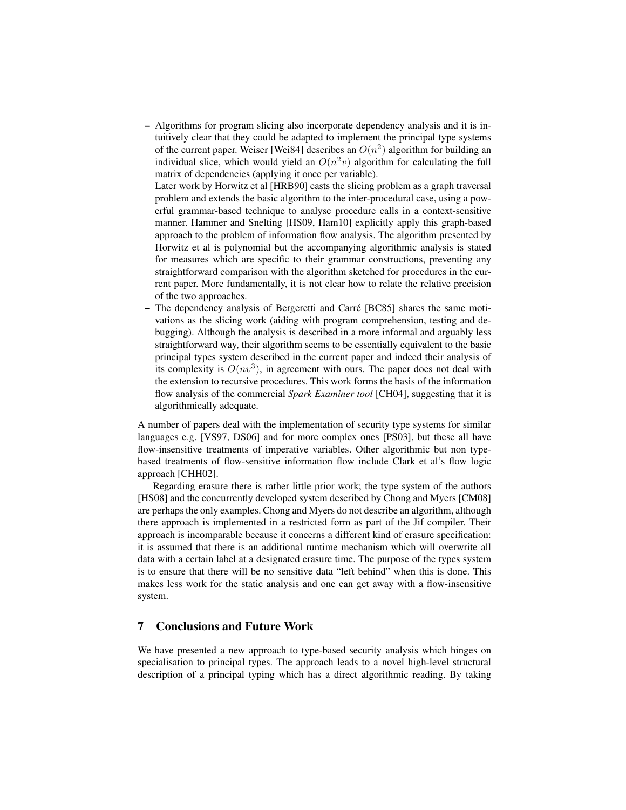– Algorithms for program slicing also incorporate dependency analysis and it is intuitively clear that they could be adapted to implement the principal type systems of the current paper. Weiser [Wei84] describes an  $O(n^2)$  algorithm for building an individual slice, which would yield an  $O(n^2v)$  algorithm for calculating the full matrix of dependencies (applying it once per variable).

Later work by Horwitz et al [HRB90] casts the slicing problem as a graph traversal problem and extends the basic algorithm to the inter-procedural case, using a powerful grammar-based technique to analyse procedure calls in a context-sensitive manner. Hammer and Snelting [HS09, Ham10] explicitly apply this graph-based approach to the problem of information flow analysis. The algorithm presented by Horwitz et al is polynomial but the accompanying algorithmic analysis is stated for measures which are specific to their grammar constructions, preventing any straightforward comparison with the algorithm sketched for procedures in the current paper. More fundamentally, it is not clear how to relate the relative precision of the two approaches.

– The dependency analysis of Bergeretti and Carre [BC85] shares the same moti- ´ vations as the slicing work (aiding with program comprehension, testing and debugging). Although the analysis is described in a more informal and arguably less straightforward way, their algorithm seems to be essentially equivalent to the basic principal types system described in the current paper and indeed their analysis of its complexity is  $O(nv^3)$ , in agreement with ours. The paper does not deal with the extension to recursive procedures. This work forms the basis of the information flow analysis of the commercial *Spark Examiner tool* [CH04], suggesting that it is algorithmically adequate.

A number of papers deal with the implementation of security type systems for similar languages e.g. [VS97, DS06] and for more complex ones [PS03], but these all have flow-insensitive treatments of imperative variables. Other algorithmic but non typebased treatments of flow-sensitive information flow include Clark et al's flow logic approach [CHH02].

Regarding erasure there is rather little prior work; the type system of the authors [HS08] and the concurrently developed system described by Chong and Myers [CM08] are perhaps the only examples. Chong and Myers do not describe an algorithm, although there approach is implemented in a restricted form as part of the Jif compiler. Their approach is incomparable because it concerns a different kind of erasure specification: it is assumed that there is an additional runtime mechanism which will overwrite all data with a certain label at a designated erasure time. The purpose of the types system is to ensure that there will be no sensitive data "left behind" when this is done. This makes less work for the static analysis and one can get away with a flow-insensitive system.

# 7 Conclusions and Future Work

We have presented a new approach to type-based security analysis which hinges on specialisation to principal types. The approach leads to a novel high-level structural description of a principal typing which has a direct algorithmic reading. By taking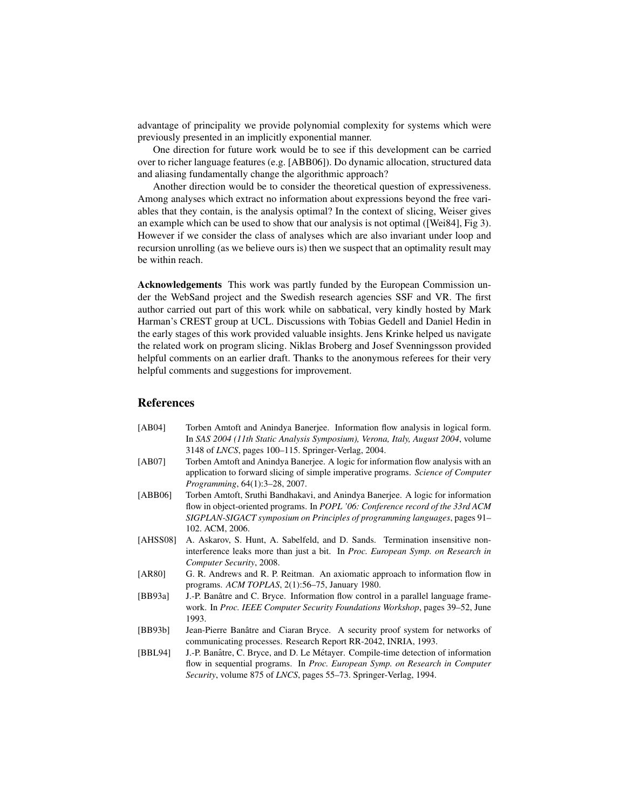advantage of principality we provide polynomial complexity for systems which were previously presented in an implicitly exponential manner.

One direction for future work would be to see if this development can be carried over to richer language features (e.g. [ABB06]). Do dynamic allocation, structured data and aliasing fundamentally change the algorithmic approach?

Another direction would be to consider the theoretical question of expressiveness. Among analyses which extract no information about expressions beyond the free variables that they contain, is the analysis optimal? In the context of slicing, Weiser gives an example which can be used to show that our analysis is not optimal ([Wei84], Fig 3). However if we consider the class of analyses which are also invariant under loop and recursion unrolling (as we believe ours is) then we suspect that an optimality result may be within reach.

Acknowledgements This work was partly funded by the European Commission under the WebSand project and the Swedish research agencies SSF and VR. The first author carried out part of this work while on sabbatical, very kindly hosted by Mark Harman's CREST group at UCL. Discussions with Tobias Gedell and Daniel Hedin in the early stages of this work provided valuable insights. Jens Krinke helped us navigate the related work on program slicing. Niklas Broberg and Josef Svenningsson provided helpful comments on an earlier draft. Thanks to the anonymous referees for their very helpful comments and suggestions for improvement.

### **References**

| [AB04]                | Torben Amtoft and Anindya Banerjee. Information flow analysis in logical form.   |
|-----------------------|----------------------------------------------------------------------------------|
|                       | In SAS 2004 (11th Static Analysis Symposium), Verona, Italy, August 2004, volume |
|                       | 3148 of <i>LNCS</i> , pages $100-115$ . Springer-Verlag, $2004$ .                |
| $F \wedge F \wedge F$ | mi i ciitto : ii cicita                                                          |

- [AB07] Torben Amtoft and Anindya Banerjee. A logic for information flow analysis with an application to forward slicing of simple imperative programs. *Science of Computer Programming*, 64(1):3–28, 2007.
- [ABB06] Torben Amtoft, Sruthi Bandhakavi, and Anindya Banerjee. A logic for information flow in object-oriented programs. In *POPL '06: Conference record of the 33rd ACM SIGPLAN-SIGACT symposium on Principles of programming languages*, pages 91– 102. ACM, 2006.
- [AHSS08] A. Askarov, S. Hunt, A. Sabelfeld, and D. Sands. Termination insensitive noninterference leaks more than just a bit. In *Proc. European Symp. on Research in Computer Security*, 2008.
- [AR80] G. R. Andrews and R. P. Reitman. An axiomatic approach to information flow in programs. *ACM TOPLAS*, 2(1):56–75, January 1980.
- [BB93a] J.-P. Banâtre and C. Bryce. Information flow control in a parallel language framework. In *Proc. IEEE Computer Security Foundations Workshop*, pages 39–52, June 1993.
- [BB93b] Jean-Pierre Banâtre and Ciaran Bryce. A security proof system for networks of communicating processes. Research Report RR-2042, INRIA, 1993.
- [BBL94] J.-P. Banâtre, C. Bryce, and D. Le Métayer. Compile-time detection of information flow in sequential programs. In *Proc. European Symp. on Research in Computer Security*, volume 875 of *LNCS*, pages 55–73. Springer-Verlag, 1994.